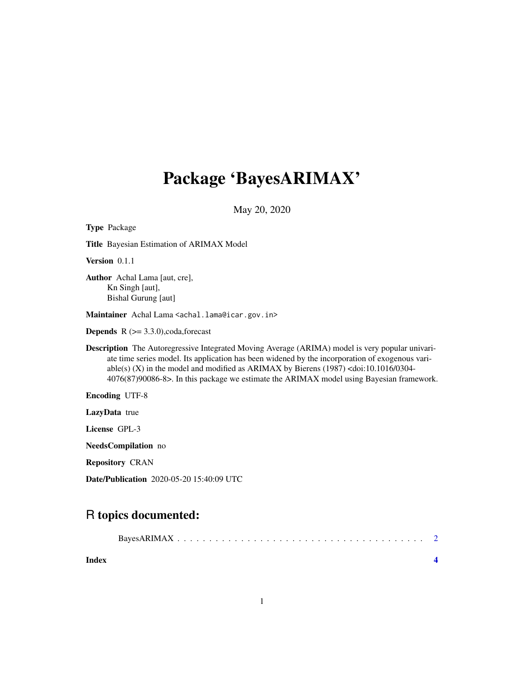# Package 'BayesARIMAX'

May 20, 2020

| <b>Type Package</b>                                                                                                                                                                                                                                                                                                                                                                                                 |  |  |
|---------------------------------------------------------------------------------------------------------------------------------------------------------------------------------------------------------------------------------------------------------------------------------------------------------------------------------------------------------------------------------------------------------------------|--|--|
| <b>Title</b> Bayesian Estimation of ARIMAX Model                                                                                                                                                                                                                                                                                                                                                                    |  |  |
| Version 0.1.1                                                                                                                                                                                                                                                                                                                                                                                                       |  |  |
| Author Achal Lama [aut, cre],<br>Kn Singh [aut],<br>Bishal Gurung [aut]                                                                                                                                                                                                                                                                                                                                             |  |  |
| Maintainer Achal Lama <achal.lama@icar.gov.in></achal.lama@icar.gov.in>                                                                                                                                                                                                                                                                                                                                             |  |  |
| <b>Depends</b> $R$ ( $>=$ 3.3.0), coda, forecast                                                                                                                                                                                                                                                                                                                                                                    |  |  |
| <b>Description</b> The Autoregressive Integrated Moving Average (ARIMA) model is very popular univari-<br>ate time series model. Its application has been widened by the incorporation of exogenous vari-<br>able(s) (X) in the model and modified as ARIMAX by Bierens $(1987)$ <doi:10.1016 0304-<br="">4076(87)90086-8&gt;. In this package we estimate the ARIMAX model using Bayesian framework.</doi:10.1016> |  |  |
| <b>Encoding UTF-8</b>                                                                                                                                                                                                                                                                                                                                                                                               |  |  |
| LazyData true                                                                                                                                                                                                                                                                                                                                                                                                       |  |  |
| License GPL-3                                                                                                                                                                                                                                                                                                                                                                                                       |  |  |
| NeedsCompilation no                                                                                                                                                                                                                                                                                                                                                                                                 |  |  |
| <b>Repository CRAN</b>                                                                                                                                                                                                                                                                                                                                                                                              |  |  |
| <b>Date/Publication</b> 2020-05-20 15:40:09 UTC                                                                                                                                                                                                                                                                                                                                                                     |  |  |

# R topics documented:

| Index |  |
|-------|--|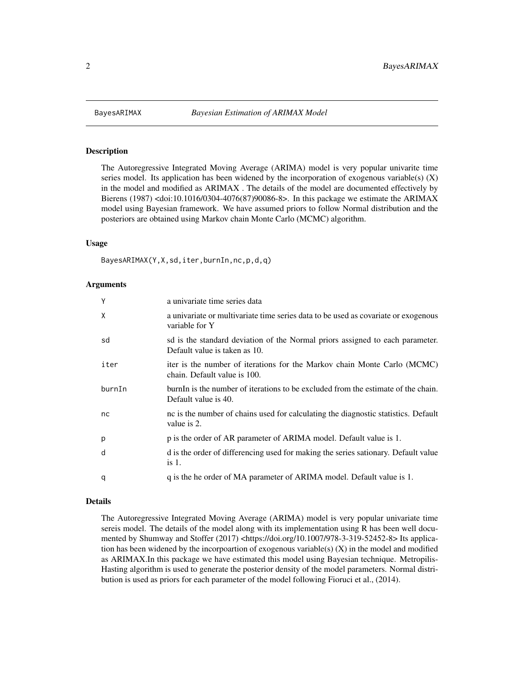<span id="page-1-0"></span>

#### Description

The Autoregressive Integrated Moving Average (ARIMA) model is very popular univarite time series model. Its application has been widened by the incorporation of exogenous variable(s)  $(X)$ in the model and modified as ARIMAX . The details of the model are documented effectively by Bierens (1987) <doi:10.1016/0304-4076(87)90086-8>. In this package we estimate the ARIMAX model using Bayesian framework. We have assumed priors to follow Normal distribution and the posteriors are obtained using Markov chain Monte Carlo (MCMC) algorithm.

#### Usage

BayesARIMAX(Y,X,sd,iter,burnIn,nc,p,d,q)

#### Arguments

| Y      | a univariate time series data                                                                                   |
|--------|-----------------------------------------------------------------------------------------------------------------|
| X      | a univariate or multivariate time series data to be used as covariate or exogenous<br>variable for Y            |
| sd     | sol is the standard deviation of the Normal priors assigned to each parameter.<br>Default value is taken as 10. |
| iter   | iter is the number of iterations for the Markov chain Monte Carlo (MCMC)<br>chain. Default value is 100.        |
| burnIn | burnIn is the number of iterations to be excluded from the estimate of the chain.<br>Default value is 40.       |
| nc     | no is the number of chains used for calculating the diagnostic statistics. Default<br>value is 2.               |
| p      | p is the order of AR parameter of ARIMA model. Default value is 1.                                              |
| d      | d is the order of differencing used for making the series sationary. Default value<br>is 1.                     |
| q      | q is the he order of MA parameter of ARIMA model. Default value is 1.                                           |

#### Details

The Autoregressive Integrated Moving Average (ARIMA) model is very popular univariate time sereis model. The details of the model along with its implementation using R has been well documented by Shumway and Stoffer (2017) <https://doi.org/10.1007/978-3-319-52452-8> Its application has been widened by the incorpoartion of exogenous variable(s)  $(X)$  in the model and modified as ARIMAX.In this package we have estimated this model using Bayesian technique. Metropilis-Hasting algorithm is used to generate the posterior density of the model parameters. Normal distribution is used as priors for each parameter of the model following Fioruci et al., (2014).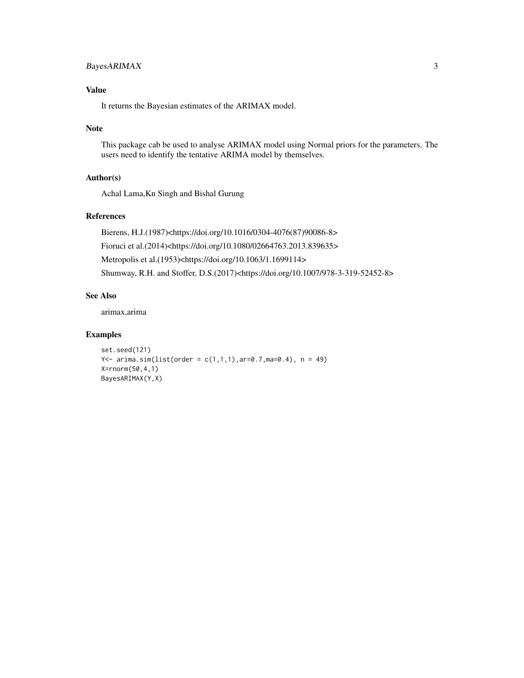# BayesARIMAX 3

# Value

It returns the Bayesian estimates of the ARIMAX model.

#### Note

This package cab be used to analyse ARIMAX model using Normal priors for the parameters. The users need to identify the tentative ARIMA model by themselves.

### Author(s)

Achal Lama,Kn Singh and Bishal Gurung

# References

Bierens, H.J.(1987)<https://doi.org/10.1016/0304-4076(87)90086-8> Fioruci et al.(2014)<https://doi.org/10.1080/02664763.2013.839635> Metropolis et al.(1953)<https://doi.org/10.1063/1.1699114> Shumway, R.H. and Stoffer, D.S.(2017)<https://doi.org/10.1007/978-3-319-52452-8>

# See Also

arimax,arima

# Examples

```
set.seed(121)
Y <- arima.sim(list(order = c(1,1,1),ar=0.7,ma=0.4), n = 49)X=rnorm(50,4,1)
BayesARIMAX(Y,X)
```